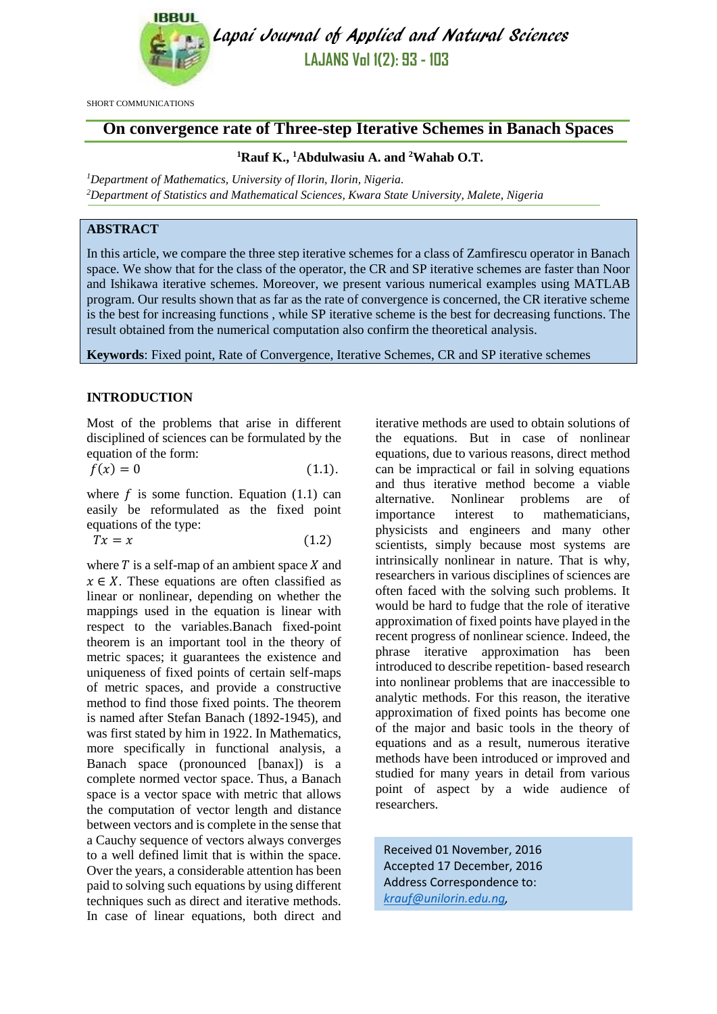

Lapai Journal of Applied and Natural Sciences **LAJANS Vol 1(2): 93 - 103**

SHORT COMMUNICATIONS

# **On convergence rate of Three-step Iterative Schemes in Banach Spaces**

# **<sup>1</sup>Rauf K., <sup>1</sup>Abdulwasiu A. and <sup>2</sup>Wahab O.T.**

*<sup>1</sup>Department of Mathematics, University of Ilorin, Ilorin, Nigeria. <sup>2</sup>Department of Statistics and Mathematical Sciences, Kwara State University, Malete, Nigeria*

# **ABSTRACT**

In this article, we compare the three step iterative schemes for a class of Zamfirescu operator in Banach space. We show that for the class of the operator, the CR and SP iterative schemes are faster than Noor and Ishikawa iterative schemes. Moreover, we present various numerical examples using MATLAB program. Our results shown that as far as the rate of convergence is concerned, the CR iterative scheme is the best for increasing functions , while SP iterative scheme is the best for decreasing functions. The result obtained from the numerical computation also confirm the theoretical analysis.

**Keywords**: Fixed point, Rate of Convergence, Iterative Schemes, CR and SP iterative schemes

# **INTRODUCTION**

Most of the problems that arise in different disciplined of sciences can be formulated by the equation of the form:

$$
f(x) = 0 \tag{1.1}
$$

where  $f$  is some function. Equation (1.1) can easily be reformulated as the fixed point equations of the type:

$$
Tx = x \tag{1.2}
$$

where  $T$  is a self-map of an ambient space  $X$  and  $x \in X$ . These equations are often classified as linear or nonlinear, depending on whether the mappings used in the equation is linear with respect to the variables.Banach fixed-point theorem is an important tool in the theory of metric spaces; it guarantees the existence and uniqueness of fixed points of certain self-maps of metric spaces, and provide a constructive method to find those fixed points. The theorem is named after Stefan Banach (1892-1945), and was first stated by him in 1922. In Mathematics, more specifically in functional analysis, a Banach space (pronounced [banax]) is a complete normed vector space. Thus, a Banach space is a vector space with metric that allows the computation of vector length and distance between vectors and is complete in the sense that a Cauchy sequence of vectors always converges to a well defined limit that is within the space. Over the years, a considerable attention has been paid to solving such equations by using different techniques such as direct and iterative methods. In case of linear equations, both direct and iterative methods are used to obtain solutions of the equations. But in case of nonlinear equations, due to various reasons, direct method can be impractical or fail in solving equations and thus iterative method become a viable alternative. Nonlinear problems are of importance interest to mathematicians, physicists and engineers and many other scientists, simply because most systems are intrinsically nonlinear in nature. That is why, researchers in various disciplines of sciences are often faced with the solving such problems. It would be hard to fudge that the role of iterative approximation of fixed points have played in the recent progress of nonlinear science. Indeed, the phrase iterative approximation has been introduced to describe repetition- based research into nonlinear problems that are inaccessible to analytic methods. For this reason, the iterative approximation of fixed points has become one of the major and basic tools in the theory of equations and as a result, numerous iterative methods have been introduced or improved and studied for many years in detail from various point of aspect by a wide audience of researchers.

Received 01 November, 2016 Accepted 17 December, 2016 Address Correspondence to: *[krauf@unilorin.edu.ng,](mailto:krauf@unilorin.edu.ng)*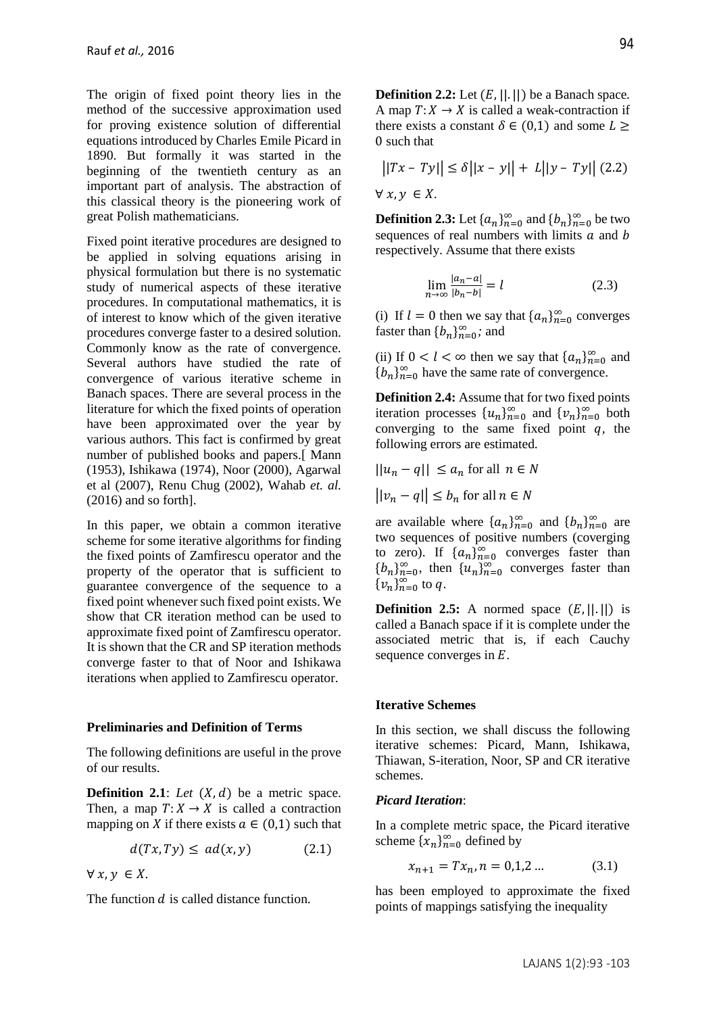The origin of fixed point theory lies in the method of the successive approximation used for proving existence solution of differential equations introduced by Charles Emile Picard in 1890. But formally it was started in the beginning of the twentieth century as an important part of analysis. The abstraction of this classical theory is the pioneering work of great Polish mathematicians.

Fixed point iterative procedures are designed to be applied in solving equations arising in physical formulation but there is no systematic study of numerical aspects of these iterative procedures. In computational mathematics, it is of interest to know which of the given iterative procedures converge faster to a desired solution. Commonly know as the rate of convergence. Several authors have studied the rate of convergence of various iterative scheme in Banach spaces. There are several process in the literature for which the fixed points of operation have been approximated over the year by various authors. This fact is confirmed by great number of published books and papers.[ Mann (1953), Ishikawa (1974), Noor (2000), Agarwal et al (2007), Renu Chug (2002), Wahab *et. al.* (2016) and so forth].

In this paper, we obtain a common iterative scheme for some iterative algorithms for finding the fixed points of Zamfirescu operator and the property of the operator that is sufficient to guarantee convergence of the sequence to a fixed point whenever such fixed point exists. We show that CR iteration method can be used to approximate fixed point of Zamfirescu operator. It is shown that the CR and SP iteration methods converge faster to that of Noor and Ishikawa iterations when applied to Zamfirescu operator.

#### **Preliminaries and Definition of Terms**

The following definitions are useful in the prove of our results.

**Definition 2.1**: Let  $(X, d)$  be a metric space. Then, a map  $T: X \to X$  is called a contraction mapping on X if there exists  $a \in (0,1)$  such that

$$
d(Tx, Ty) \leq ad(x, y) \tag{2.1}
$$

 $\forall x, y \in X.$ 

The function *d* is called distance function.

**Definition 2.2:** Let  $(E, ||.||)$  be a Banach space. A map  $T: X \to X$  is called a weak-contraction if there exists a constant  $\delta \in (0,1)$  and some  $L \geq$ 0 such that

$$
\left| |Tx - Ty| \right| \le \delta \left| |x - y| \right| + L \left| |y - Ty| \right| (2.2)
$$
  

$$
\forall x, y \in X.
$$

**Definition 2.3:** Let  $\{a_n\}_{n=0}^{\infty}$  and  $\{b_n\}_{n=0}^{\infty}$  be two sequences of real numbers with limits  $a$  and  $b$ respectively. Assume that there exists

$$
\lim_{n \to \infty} \frac{|a_n - a|}{|b_n - b|} = l \tag{2.3}
$$

(i) If  $l = 0$  then we say that  $\{a_n\}_{n=0}^{\infty}$  converges faster than  ${b_n}_{n=0}^{\infty}$ ; and

(ii) If  $0 < l < \infty$  then we say that  $\{a_n\}_{n=0}^{\infty}$  and  ${b_n}_{n=0}^{\infty}$  have the same rate of convergence.

**Definition 2.4:** Assume that for two fixed points iteration processes  $\{u_n\}_{n=0}^{\infty}$  and  $\{v_n\}_{n=0}^{\infty}$  both converging to the same fixed point  $q$ , the following errors are estimated*.*

$$
||u_n - q|| \le a_n \text{ for all } n \in N
$$

 $||v_n - q|| \leq b_n$  for all  $n \in N$ 

are available where  $\{a_n\}_{n=0}^{\infty}$  and  $\{b_n\}_{n=0}^{\infty}$  are two sequences of positive numbers (coverging to zero). If  $\{a_n\}_{n=0}^{\infty}$  converges faster than  ${b_n}_{n=0}^{\infty}$ , then  ${u_n}_{n=0}^{\infty}$  converges faster than  $\{v_n\}_{n=0}^\infty$  to q.

**Definition 2.5:** A normed space  $(E, ||, ||)$  is called a Banach space if it is complete under the associated metric that is, if each Cauchy sequence converges in *E*.

## **Iterative Schemes**

In this section, we shall discuss the following iterative schemes: Picard, Mann, Ishikawa, Thiawan, S-iteration, Noor, SP and CR iterative schemes.

### *Picard Iteration*:

In a complete metric space, the Picard iterative scheme  $\{x_n\}_{n=0}^{\infty}$  defined by

$$
x_{n+1} = Tx_n, n = 0, 1, 2 \dots \tag{3.1}
$$

has been employed to approximate the fixed points of mappings satisfying the inequality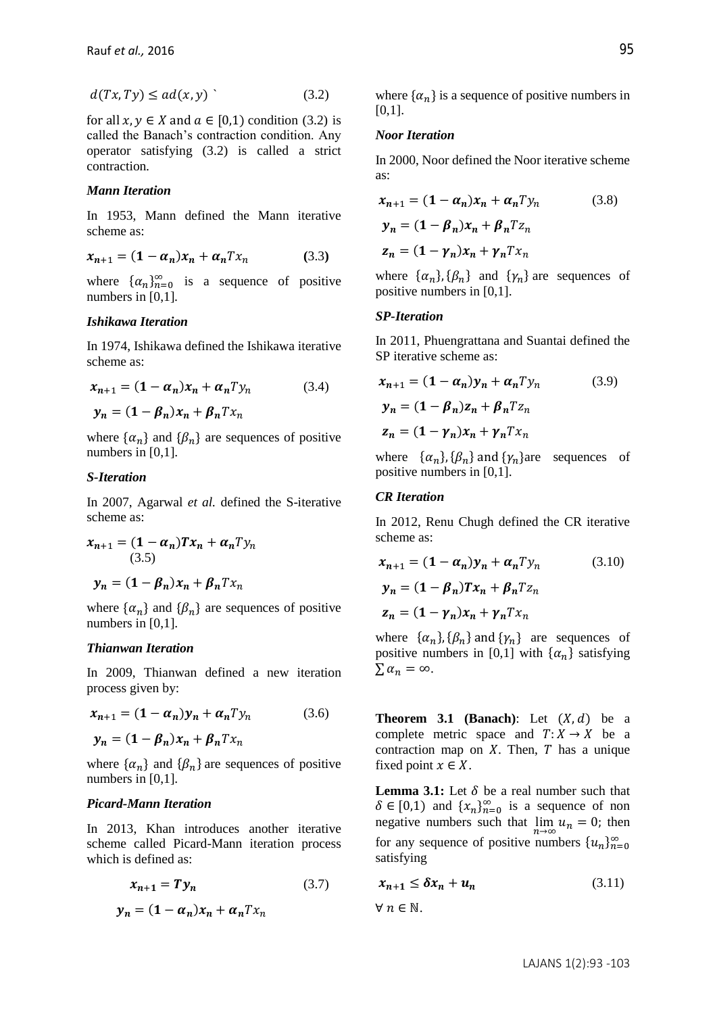$$
d(Tx, Ty) \le ad(x, y) \tag{3.2}
$$

for all  $x, y \in X$  and  $a \in [0,1)$  condition (3.2) is called the Banach's contraction condition. Any operator satisfying (3.2) is called a strict contraction*.*

## *Mann Iteration*

In 1953, Mann defined the Mann iterative scheme as:

$$
x_{n+1} = (1 - \alpha_n)x_n + \alpha_n T x_n \tag{3.3}
$$

where  $\{\alpha_n\}_{n=0}^{\infty}$  is a sequence of positive numbers in [0,1]*.*

## *Ishikawa Iteration*

In 1974, Ishikawa defined the Ishikawa iterative scheme as:

$$
x_{n+1} = (1 - \alpha_n)x_n + \alpha_n T y_n
$$
 (3.4)  

$$
y_n = (1 - \beta_n)x_n + \beta_n T x_n
$$

where  $\{\alpha_n\}$  and  $\{\beta_n\}$  are sequences of positive numbers in [0,1].

### *S-Iteration*

In 2007, Agarwal *et al.* defined the S-iterative scheme as:

$$
x_{n+1} = (1 - \alpha_n)Tx_n + \alpha_n Ty_n
$$
  
(3.5)  

$$
y_n = (1 - \beta_n)x_n + \beta_n Tx_n
$$

where  $\{\alpha_n\}$  and  $\{\beta_n\}$  are sequences of positive numbers in [0,1].

#### *Thianwan Iteration*

In 2009, Thianwan defined a new iteration process given by:

$$
x_{n+1} = (1 - \alpha_n)y_n + \alpha_n T y_n \tag{3.6}
$$

$$
\mathbf{y}_n = (1 - \beta_n) x_n + \beta_n T x_n
$$

where  $\{\alpha_n\}$  and  $\{\beta_n\}$  are sequences of positive numbers in [0,1].

## *Picard-Mann Iteration*

In 2013, Khan introduces another iterative scheme called Picard-Mann iteration process which is defined as:

$$
x_{n+1} = Ty_n \tag{3.7}
$$

$$
y_n = (1 - \alpha_n)x_n + \alpha_n T x_n
$$

where  $\{\alpha_n\}$  is a sequence of positive numbers in  $[0,1]$ .

### *Noor Iteration*

In 2000, Noor defined the Noor iterative scheme as:

$$
x_{n+1} = (1 - \alpha_n)x_n + \alpha_n T y_n
$$
 (3.8)  

$$
y_n = (1 - \beta_n)x_n + \beta_n T z_n
$$
  

$$
z_n = (1 - \gamma_n)x_n + \gamma_n T x_n
$$

where  $\{\alpha_n\}$ ,  $\{\beta_n\}$  and  $\{\gamma_n\}$  are sequences of positive numbers in [0,1].

#### *SP-Iteration*

In 2011, Phuengrattana and Suantai defined the SP iterative scheme as:

$$
x_{n+1} = (1 - \alpha_n)y_n + \alpha_n y_n
$$
 (3.9)  

$$
y_n = (1 - \beta_n)z_n + \beta_n y_n
$$
  

$$
z_n = (1 - \gamma_n)x_n + \gamma_n y_n
$$

where  $\{\alpha_n\}$ ,  $\{\beta_n\}$  and  $\{\gamma_n\}$ are sequences of positive numbers in [0,1].

### *CR Iteration*

In 2012, Renu Chugh defined the CR iterative scheme as:

$$
x_{n+1} = (1 - \alpha_n)y_n + \alpha_n T y_n
$$
 (3.10)  

$$
y_n = (1 - \beta_n)Tx_n + \beta_n T z_n
$$
  

$$
z_n = (1 - \gamma_n)x_n + \gamma_n T x_n
$$

where  $\{\alpha_n\}$ ,  $\{\beta_n\}$  and  $\{\gamma_n\}$  are sequences of positive numbers in [0,1] with  $\{\alpha_n\}$  satisfying  $\sum \alpha_n = \infty$ .

**Theorem 3.1 (Banach)**: Let  $(X, d)$  be a complete metric space and  $T: X \to X$  be a contraction map on  $X$ . Then,  $T$  has a unique fixed point  $x \in X$ .

**Lemma 3.1:** Let  $\delta$  be a real number such that  $\delta \in [0,1)$  and  $\{x_n\}_{n=0}^{\infty}$  is a sequence of non negative numbers such that  $\lim_{n\to\infty} u_n = 0$ ; then for any sequence of positive numbers  $\{u_n\}_{n=0}^{\infty}$ satisfying

$$
x_{n+1} \leq \delta x_n + u_n \tag{3.11}
$$

 $\forall n \in \mathbb{N}$ .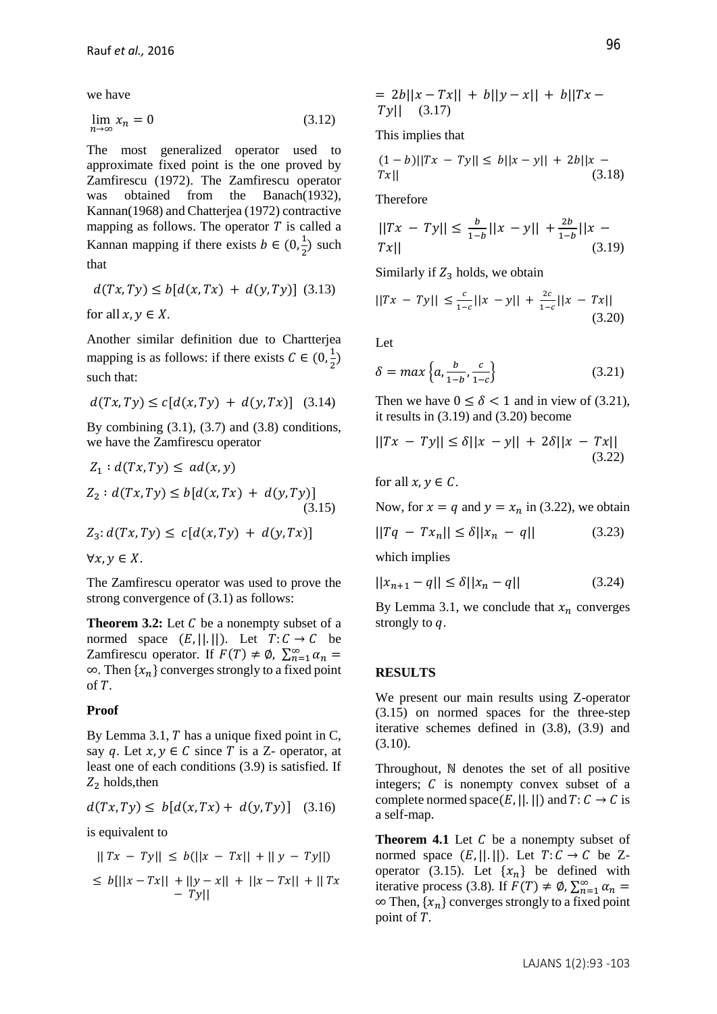we have

$$
\lim_{n \to \infty} x_n = 0 \tag{3.12}
$$

The most generalized operator used to approximate fixed point is the one proved by Zamfirescu (1972). The Zamfirescu operator was obtained from the Banach(1932), Kannan(1968) and Chatterjea (1972) contractive mapping as follows. The operator  $T$  is called a Kannan mapping if there exists  $b \in (0, \frac{1}{2})$  $\frac{1}{2}$ ) such that

$$
d(Tx, Ty) \le b[d(x, Tx) + d(y, Ty)] \quad (3.13)
$$

for all  $x, y \in X$ .

Another similar definition due to Chartterjea mapping is as follows: if there exists  $C \in (0, \frac{1}{2})$  $\frac{1}{2}$ such that:

$$
d(Tx, Ty) \le c[d(x, Ty) + d(y, Tx)] \quad (3.14)
$$

By combining  $(3.1)$ ,  $(3.7)$  and  $(3.8)$  conditions, we have the Zamfirescu operator

$$
Z_1: d(Tx, Ty) \leq ad(x, y)
$$
  
\n
$$
Z_2: d(Tx, Ty) \leq b[d(x, Tx) + d(y, Ty)]
$$
  
\n
$$
Z_3: d(Tx, Ty) \leq c[d(x, Ty) + d(y, Tx)]
$$
  
\n(3.15)

 $\forall x, y \in X$ .

The Zamfirescu operator was used to prove the strong convergence of (3.1) as follows:

**Theorem 3.2:** Let C be a nonempty subset of a normed space  $(E, ||. ||)$ . Let  $T: C \rightarrow C$  be Zamfirescu operator. If  $F(T) \neq \emptyset$ ,  $\sum_{n=1}^{\infty} \alpha_n =$  $\infty$ *.* Then { $x_n$ } converges strongly to a fixed point of *.*

### **Proof**

By Lemma 3.1,  $T$  has a unique fixed point in  $C$ , say q. Let  $x, y \in C$  since T is a Z- operator, at least one of each conditions (3.9) is satisfied. If  $Z_2$  holds, then

$$
d(Tx, Ty) \le b[d(x, Tx) + d(y, Ty)] \quad (3.16)
$$

is equivalent to

$$
||Tx - Ty|| \le b(||x - Tx|| + ||y - Ty||)
$$
  
\n
$$
\le b[||x - Tx|| + ||y - x|| + ||x - Tx|| + ||Tx - Ty||]
$$

$$
= 2b||x - Tx|| + b||y - x|| + b||Tx - Ty|| \quad (3.17)
$$

This implies that

$$
(1-b)||Tx - Ty|| \le b||x - y|| + 2b||x - Tx|| \qquad (3.18)
$$

Therefore

$$
||Tx - Ty|| \le \frac{b}{1-b}||x - y|| + \frac{2b}{1-b}||x - Tx||
$$
\n(3.19)

Similarly if  $Z_3$  holds, we obtain

$$
||Tx - Ty|| \le \frac{c}{1-c}||x - y|| + \frac{2c}{1-c}||x - Tx||
$$
\n(3.20)

Let

$$
\delta = \max\left\{a, \frac{b}{1-b}, \frac{c}{1-c}\right\} \tag{3.21}
$$

Then we have  $0 \le \delta < 1$  and in view of (3.21), it results in (3.19) and (3.20) become

$$
||Tx - Ty|| \le \delta ||x - y|| + 2\delta ||x - Tx||
$$
\n(3.22)

for all  $x, y \in C$ .

Now, for 
$$
x = q
$$
 and  $y = x_n$  in (3.22), we obtain

$$
||Tq - Tx_n|| \le \delta ||x_n - q|| \qquad (3.23)
$$

which implies

$$
||x_{n+1} - q|| \le \delta ||x_n - q|| \tag{3.24}
$$

By Lemma 3.1, we conclude that  $x_n$  converges strongly to *q*.

## **RESULTS**

We present our main results using Z-operator (3.15) on normed spaces for the three-step iterative schemes defined in (3.8), (3.9) and (3.10).

Throughout, ℕ denotes the set of all positive integers;  $C$  is nonempty convex subset of a complete normed space(E, ||. ||) and  $T: C \rightarrow C$  is a self-map.

**Theorem 4.1** Let C be a nonempty subset of normed space  $(E, ||. ||)$ *.* Let  $T: C \rightarrow C$  be Zoperator (3.15). Let  $\{x_n\}$  be defined with iterative process (3.8). If  $F(T) \neq \emptyset$ ,  $\sum_{n=1}^{\infty} \alpha_n =$  $\infty$  Then,  $\{x_n\}$  converges strongly to a fixed point point of *T*.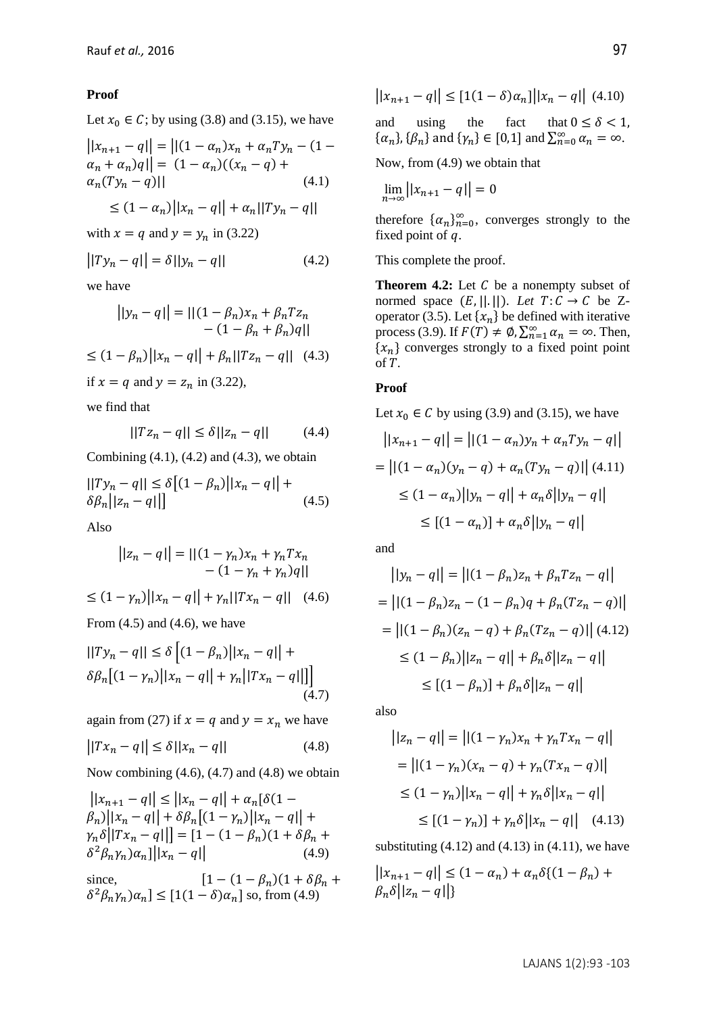# **Proof**

Let  $x_0 \in C$ ; by using (3.8) and (3.15), we have

$$
||x_{n+1} - q|| = ||(1 - \alpha_n)x_n + \alpha_n Ty_n - (1 - \alpha_n + \alpha_n)q|| = (1 - \alpha_n)((x_n - q) + \alpha_n (Ty_n - q) ||)
$$
\n(4.1)

$$
\leq (1 - \alpha_n) \big| |x_n - q| \big| + \alpha_n \big| |Ty_n - q| \big|
$$

with  $x = q$  and  $y = y_n$  in (3.22)

$$
||Ty_n - q|| = \delta||y_n - q|| \tag{4.2}
$$

we have

$$
||y_n - q|| = ||(1 - \beta_n)x_n + \beta_n T z_n
$$
  
- (1 - \beta\_n + \beta\_n)q||  

$$
\leq (1 - \beta_n) ||x_n - q|| + \beta_n ||T z_n - q||
$$
 (4.3)  
if  $x = q$  and  $y = z_n$  in (3.22),

we find that

$$
||Tz_n - q|| \le \delta ||z_n - q|| \qquad (4.4)
$$

Combining  $(4.1)$ ,  $(4.2)$  and  $(4.3)$ , we obtain

$$
||Ty_n - q|| \le \delta [(1 - \beta_n) ||x_n - q|| + \delta \beta_n ||z_n - q||]
$$
\n(4.5)

Also

$$
||z_n - q|| = ||(1 - \gamma_n)x_n + \gamma_n T x_n
$$
  
-  $(1 - \gamma_n + \gamma_n)q||$   
 $\leq (1 - \gamma_n) ||x_n - q|| + \gamma_n ||T x_n - q||$  (4.6)

From  $(4.5)$  and  $(4.6)$ , we have

$$
||Ty_n - q|| \le \delta \left[ (1 - \beta_n) ||x_n - q|| + \delta \beta_n \left[ (1 - \gamma_n) ||x_n - q|| + \gamma_n ||Tx_n - q|| \right] \right]
$$
\n(4.7)

again from (27) if  $x = q$  and  $y = x_n$  we have

$$
||Tx_n - q|| \le \delta ||x_n - q|| \tag{4.8}
$$

Now combining  $(4.6)$ ,  $(4.7)$  and  $(4.8)$  we obtain

 $||x_{n+1} - q|| \le ||x_n - q|| + \alpha_n[\delta(1 \beta_n$ )|| $|x_n - q|$ | +  $\delta \beta_n$ [(1 –  $\gamma_n$ )|| $x_n - q$ || +  $|\gamma_n \delta||Tx_n - q||$  = [1 – (1 –  $\beta_n$ )(1 +  $\delta\beta_n$  +  $\delta^2 \beta_n \gamma_n \alpha_n ||x_n - q||$  (4.9)

since,  $[1 - (1 - \beta_n)(1 + \delta \beta_n + \delta \beta_n)]$  $\delta^2 \beta_n \gamma_n \alpha_n \leq [1(1-\delta)\alpha_n]$  so, from (4.9)

$$
||x_{n+1} - q|| \le [1(1 - \delta)\alpha_n] ||x_n - q|| \tag{4.10}
$$

and using the fact that  $0 \le \delta < 1$ ,  $\{\alpha_n\}, \{\beta_n\}$  and  $\{\gamma_n\} \in [0,1]$  and  $\sum_{n=0}^{\infty} \alpha_n = \infty$ .

Now, from (4.9) we obtain that

$$
\lim_{n\to\infty}||x_{n+1}-q||=0
$$

therefore  $\{\alpha_n\}_{n=0}^{\infty}$ , converges strongly to the fixed point of  $q$ .

This complete the proof.

**Theorem 4.2:** Let C be a nonempty subset of normed space  $(E, ||. ||)$ *. Let*  $T: C \rightarrow C$  be Zoperator (3.5). Let  $\{x_n\}$  be defined with iterative process (3.9). If  $F(T) \neq \emptyset$ ,  $\sum_{n=1}^{\infty} \alpha_n = \infty$ . Then,  ${x_n}$  converges strongly to a fixed point point of *.* 

## **Proof**

Let 
$$
x_0 \in C
$$
 by using (3.9) and (3.15), we have

$$
||x_{n+1} - q|| = ||(1 - \alpha_n)y_n + \alpha_n Ty_n - q||
$$
  
=  $||(1 - \alpha_n)(y_n - q) + \alpha_n (Ty_n - q)||$  (4.11)  
 $\leq (1 - \alpha_n)||y_n - q|| + \alpha_n \delta||y_n - q||$   
 $\leq [(1 - \alpha_n)] + \alpha_n \delta||y_n - q||$ 

and

$$
||y_n - q|| = ||(1 - \beta_n)z_n + \beta_n T z_n - q||
$$
  
=  $||(1 - \beta_n)z_n - (1 - \beta_n)q + \beta_n (T z_n - q)||$   
=  $||(1 - \beta_n)(z_n - q) + \beta_n (T z_n - q)||$  (4.12)  
 $\leq (1 - \beta_n) ||z_n - q|| + \beta_n \delta ||z_n - q||$   
 $\leq [(1 - \beta_n)] + \beta_n \delta ||z_n - q||$ 

also

$$
||z_n - q|| = ||(1 - \gamma_n)x_n + \gamma_n Tx_n - q||
$$
  
=  $||(1 - \gamma_n)(x_n - q) + \gamma_n (Tx_n - q)||$   
 $\leq (1 - \gamma_n) ||x_n - q|| + \gamma_n \delta ||x_n - q||$   
 $\leq [(1 - \gamma_n)] + \gamma_n \delta ||x_n - q||$  (4.13)

substituting  $(4.12)$  and  $(4.13)$  in  $(4.11)$ , we have

$$
||x_{n+1} - q|| \le (1 - \alpha_n) + \alpha_n \delta \{(1 - \beta_n) + \beta_n \delta ||z_n - q||\}
$$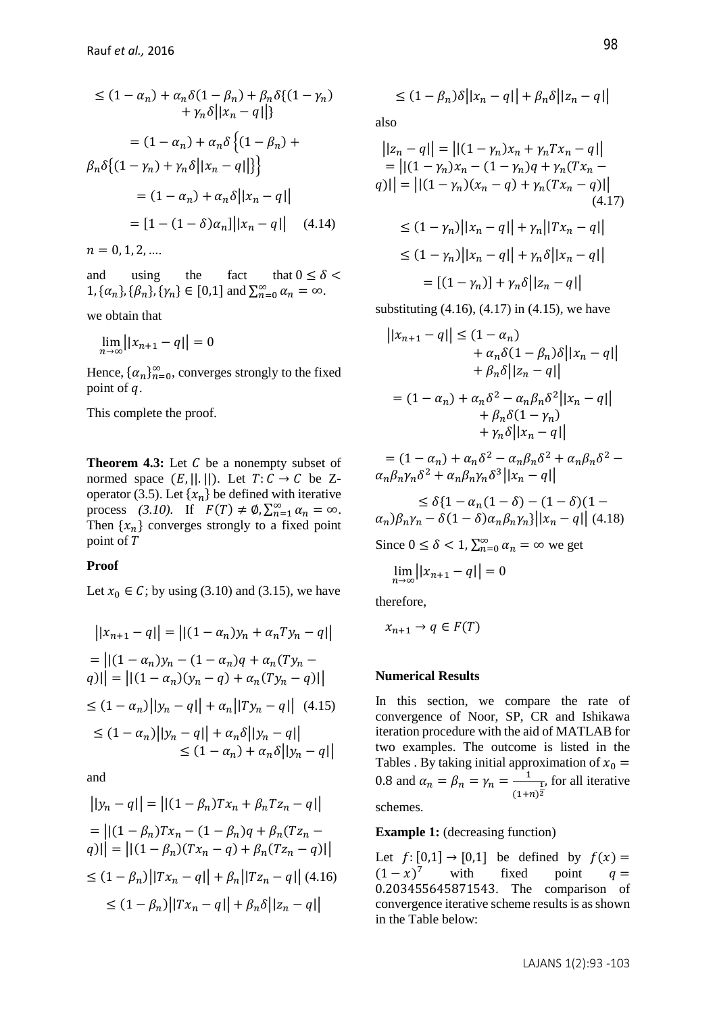$$
\leq (1 - \alpha_n) + \alpha_n \delta(1 - \beta_n) + \beta_n \delta\{(1 - \gamma_n)
$$

$$
+ \gamma_n \delta ||x_n - q||\}
$$

$$
= (1 - \alpha_n) + \alpha_n \delta\{(1 - \beta_n) + \beta_n \delta\{(1 - \gamma_n) + \gamma_n \delta ||x_n - q||\}\}
$$

$$
= (1 - \alpha_n) + \alpha_n \delta ||x_n - q||
$$

$$
= [1 - (1 - \delta)\alpha_n] ||x_n - q|| \quad (4.14)
$$

 $n = 0, 1, 2, ...$ 

and using the fact that  $0 \le \delta$  $1, {\{\alpha_n\}, \{\beta_n\}, \{\gamma_n\} \in [0,1]}$  and  $\sum_{n=0}^{\infty} \alpha_n = \infty$ .

we obtain that

$$
\lim_{n\to\infty}||x_{n+1}-q||=0
$$

Hence,  $\{\alpha_n\}_{n=0}^{\infty}$ , converges strongly to the fixed point of  $q$ .

This complete the proof.

**Theorem 4.3:** Let C be a nonempty subset of normed space  $(E, ||. ||)$ . Let  $T: C \rightarrow C$  be Zoperator (3.5). Let  $\{x_n\}$  be defined with iterative process (3.10). If  $F(T) \neq \emptyset$ ,  $\sum_{n=1}^{\infty} \alpha_n = \infty$ . Then  $\{x_n\}$  converges strongly to a fixed point point of T

#### **Proof**

Let  $x_0 \in C$ ; by using (3.10) and (3.15), we have

$$
||x_{n+1} - q|| = ||(1 - \alpha_n)y_n + \alpha_n Ty_n - q||
$$
  
=  $||(1 - \alpha_n)y_n - (1 - \alpha_n)q + \alpha_n (Ty_n - q)||$   
=  $||(1 - \alpha_n)(y_n - q) + \alpha_n (Ty_n - q)||$   
 $\leq (1 - \alpha_n) ||y_n - q|| + \alpha_n ||Ty_n - q||$  (4.15)  
 $\leq (1 - \alpha_n) ||y_n - q|| + \alpha_n \delta ||y_n - q||$   
 $\leq (1 - \alpha_n) + \alpha_n \delta ||y_n - q||$ 

and

$$
||y_n - q|| = ||(1 - \beta_n)Tx_n + \beta_n T z_n - q||
$$
  
\n
$$
= ||(1 - \beta_n)Tx_n - (1 - \beta_n)q + \beta_n(T z_n - q)||
$$
  
\n
$$
= ||(1 - \beta_n)(Tx_n - q) + \beta_n(T z_n - q)||
$$
  
\n
$$
\leq (1 - \beta_n) ||Tx_n - q|| + \beta_n ||T z_n - q|| \quad (4.16)
$$
  
\n
$$
\leq (1 - \beta_n) ||Tx_n - q|| + \beta_n \delta ||z_n - q||
$$

$$
\leq (1 - \beta_n)\delta \big| |x_n - q| \big| + \beta_n \delta \big| |z_n - q| \big|
$$

also

$$
||z_n - q|| = ||(1 - \gamma_n)x_n + \gamma_n Tx_n - q||
$$
  
\n
$$
= ||(1 - \gamma_n)x_n - (1 - \gamma_n)q + \gamma_n (Tx_n - q)|
$$
  
\n
$$
q|| = ||(1 - \gamma_n)(x_n - q) + \gamma_n (Tx_n - q)||
$$
  
\n
$$
\leq (1 - \gamma_n) ||x_n - q|| + \gamma_n ||Tx_n - q||
$$
  
\n
$$
\leq (1 - \gamma_n) ||x_n - q|| + \gamma_n \delta ||x_n - q||
$$
  
\n
$$
= [(1 - \gamma_n)] + \gamma_n \delta ||z_n - q||
$$

substituting  $(4.16)$ ,  $(4.17)$  in  $(4.15)$ , we have

$$
||x_{n+1} - q|| \le (1 - \alpha_n)
$$
  
+  $\alpha_n \delta (1 - \beta_n) \delta ||x_n - q||$   
+  $\beta_n \delta ||z_n - q||$   
=  $(1 - \alpha_n) + \alpha_n \delta^2 - \alpha_n \beta_n \delta^2 ||x_n - q||$   
+  $\beta_n \delta (1 - \gamma_n)$   
+  $\gamma_n \delta ||x_n - q||$   
=  $(1 - \alpha_n) + \alpha_n \delta^2 - \alpha_n \beta_n \delta^2 + \alpha_n \beta_n \delta^2 -$ 

$$
\alpha_n \beta_n \gamma_n \delta^2 + \alpha_n \beta_n \gamma_n \delta^3 ||x_n - q||
$$
  
\n
$$
\leq \delta \{ 1 - \alpha_n (1 - \delta) - (1 - \delta) (1 - \delta) \}
$$

$$
\alpha_n)\beta_n\gamma_n - \delta(1-\delta)\alpha_n\beta_n\gamma_n\}||x_n - q|| \tag{4.18}
$$

Since  $0 \le \delta < 1$ ,  $\sum_{n=0}^{\infty} \alpha_n = \infty$  we get

$$
\lim_{n\to\infty}||x_{n+1}-q||=0
$$

therefore,

$$
x_{n+1} \to q \in F(T)
$$

#### **Numerical Results**

In this section, we compare the rate of convergence of Noor, SP, CR and Ishikawa iteration procedure with the aid of MATLAB for two examples. The outcome is listed in the Tables . By taking initial approximation of  $x_0 =$ 0.8 and  $\alpha_n = \beta_n = \gamma_n = \frac{1}{n}$  $\frac{1}{(1+n)^{\frac{1}{2}}}$ , for all iterative schemes.

**Example 1:** (decreasing function)

Let  $f:[0,1] \rightarrow [0,1]$  be defined by  $f(x) =$  $(1-x)^7$  with fixed point  $q=$ 0.203455645871543. The comparison of convergence iterative scheme results is as shown in the Table below: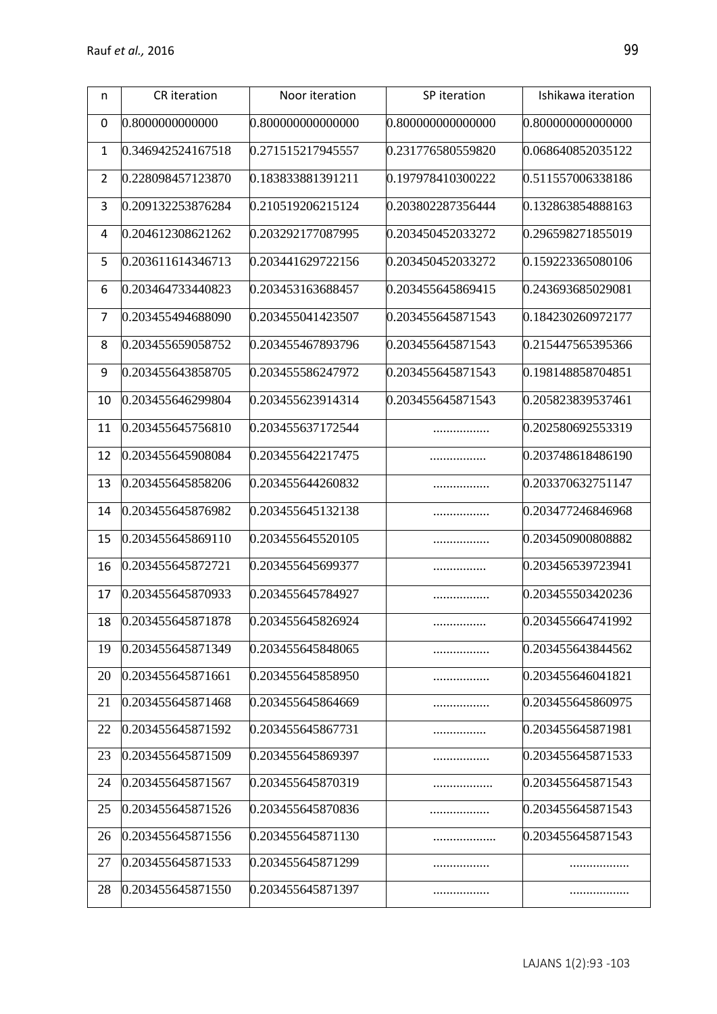| n              | CR iteration      | Noor iteration    | SP iteration      | Ishikawa iteration |
|----------------|-------------------|-------------------|-------------------|--------------------|
| 0              | 0.8000000000000   | 0.800000000000000 | 0.800000000000000 | 0.800000000000000  |
| $\mathbf{1}$   | 0.346942524167518 | 0.271515217945557 | 0.231776580559820 | 0.068640852035122  |
| $\overline{2}$ | 0.228098457123870 | 0.183833881391211 | 0.197978410300222 | 0.511557006338186  |
| 3              | 0.209132253876284 | 0.210519206215124 | 0.203802287356444 | 0.132863854888163  |
| 4              | 0.204612308621262 | 0.203292177087995 | 0.203450452033272 | 0.296598271855019  |
| 5              | 0.203611614346713 | 0.203441629722156 | 0.203450452033272 | 0.159223365080106  |
| 6              | 0.203464733440823 | 0.203453163688457 | 0.203455645869415 | 0.243693685029081  |
| $\overline{7}$ | 0.203455494688090 | 0.203455041423507 | 0.203455645871543 | 0.184230260972177  |
| 8              | 0.203455659058752 | 0.203455467893796 | 0.203455645871543 | 0.215447565395366  |
| 9              | 0.203455643858705 | 0.203455586247972 | 0.203455645871543 | 0.198148858704851  |
| 10             | 0.203455646299804 | 0.203455623914314 | 0.203455645871543 | 0.205823839537461  |
| 11             | 0.203455645756810 | 0.203455637172544 |                   | 0.202580692553319  |
| 12             | 0.203455645908084 | 0.203455642217475 |                   | 0.203748618486190  |
| 13             | 0.203455645858206 | 0.203455644260832 |                   | 0.203370632751147  |
| 14             | 0.203455645876982 | 0.203455645132138 |                   | 0.203477246846968  |
| 15             | 0.203455645869110 | 0.203455645520105 |                   | 0.203450900808882  |
| 16             | 0.203455645872721 | 0.203455645699377 |                   | 0.203456539723941  |
| 17             | 0.203455645870933 | 0.203455645784927 |                   | 0.203455503420236  |
| 18             | 0.203455645871878 | 0.203455645826924 |                   | 0.203455664741992  |
| 19             | 0.203455645871349 | 0.203455645848065 |                   | 0.203455643844562  |
| 20             | 0.203455645871661 | 0.203455645858950 |                   | 0.203455646041821  |
| 21             | 0.203455645871468 | 0.203455645864669 |                   | 0.203455645860975  |
| 22             | 0.203455645871592 | 0.203455645867731 |                   | 0.203455645871981  |
| 23             | 0.203455645871509 | 0.203455645869397 |                   | 0.203455645871533  |
| 24             | 0.203455645871567 | 0.203455645870319 |                   | 0.203455645871543  |
| 25             | 0.203455645871526 | 0.203455645870836 |                   | 0.203455645871543  |
| 26             | 0.203455645871556 | 0.203455645871130 |                   | 0.203455645871543  |
| 27             | 0.203455645871533 | 0.203455645871299 |                   |                    |
| 28             | 0.203455645871550 | 0.203455645871397 |                   |                    |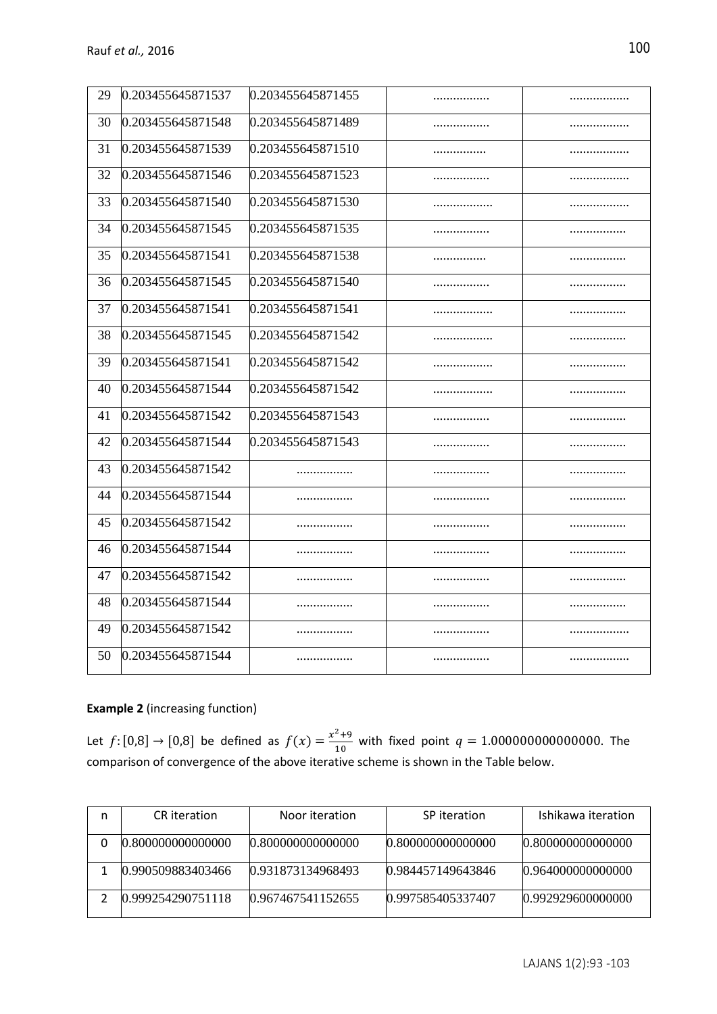| 29 | 0.203455645871537 | 0.203455645871455 |   |   |
|----|-------------------|-------------------|---|---|
| 30 | 0.203455645871548 | 0.203455645871489 |   |   |
| 31 | 0.203455645871539 | 0.203455645871510 |   |   |
| 32 | 0.203455645871546 | 0.203455645871523 | . | . |
| 33 | 0.203455645871540 | 0.203455645871530 |   |   |
| 34 | 0.203455645871545 | 0.203455645871535 |   | . |
| 35 | 0.203455645871541 | 0.203455645871538 |   |   |
| 36 | 0.203455645871545 | 0.203455645871540 |   | . |
| 37 | 0.203455645871541 | 0.203455645871541 | . | . |
| 38 | 0.203455645871545 | 0.203455645871542 |   |   |
| 39 | 0.203455645871541 | 0.203455645871542 | . |   |
| 40 | 0.203455645871544 | 0.203455645871542 |   |   |
| 41 | 0.203455645871542 | 0.203455645871543 |   |   |
| 42 | 0.203455645871544 | 0.203455645871543 |   | . |
| 43 | 0.203455645871542 | .                 |   | . |
| 44 | 0.203455645871544 | .                 |   |   |
| 45 | 0.203455645871542 | .                 |   |   |
| 46 | 0.203455645871544 | .                 | . |   |
| 47 | 0.203455645871542 | .                 |   |   |
| 48 | 0.203455645871544 | .                 |   |   |
| 49 | 0.203455645871542 |                   |   |   |
| 50 | 0.203455645871544 | .                 |   |   |

# **Example 2** (increasing function)

Let  $f: [0,8] \to [0,8]$  be defined as  $f(x) = \frac{x^2+9}{10}$  $\frac{1}{10}$  with fixed point  $q = 1.000000000000000$ . The comparison of convergence of the above iterative scheme is shown in the Table below.

| n | CR iteration      | Noor iteration    | SP iteration      | Ishikawa iteration |
|---|-------------------|-------------------|-------------------|--------------------|
|   | 0.800000000000000 | 0.800000000000000 | 0.800000000000000 | 0.800000000000000  |
|   | 0.990509883403466 | 0.931873134968493 | 0.984457149643846 | 0.964000000000000  |
|   | 0.999254290751118 | 0.967467541152655 | 0.997585405337407 | 0.992929600000000  |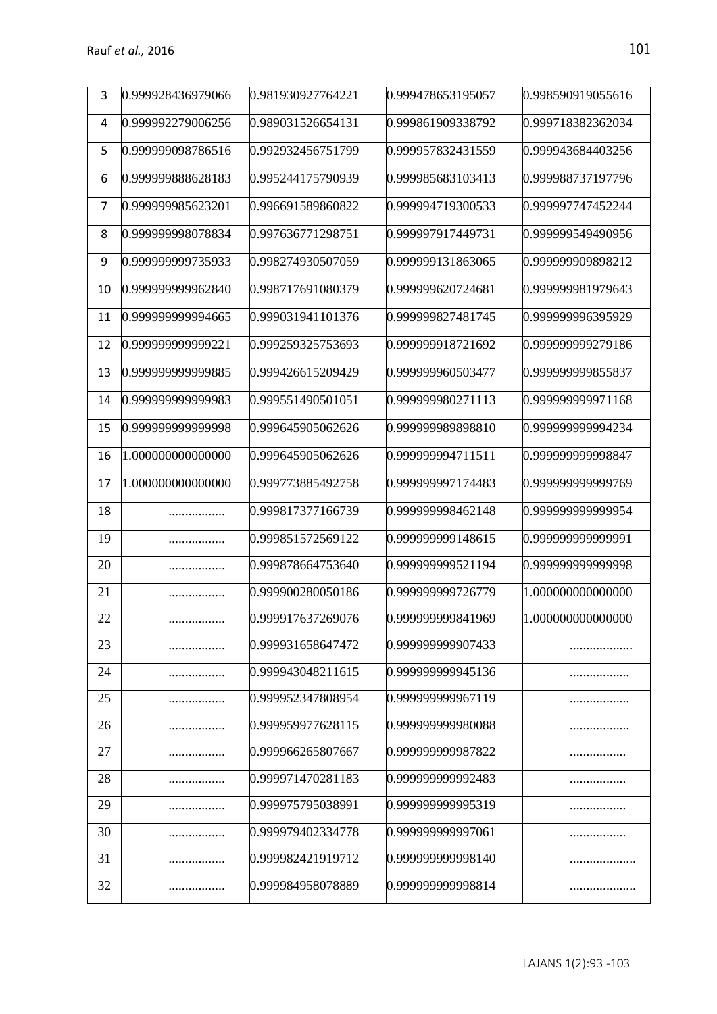| 3  | 0.999928436979066 | 0.981930927764221 | 0.999478653195057 | 0.998590919055616 |
|----|-------------------|-------------------|-------------------|-------------------|
| 4  | 0.999992279006256 | 0.989031526654131 | 0.999861909338792 | 0.999718382362034 |
| 5  | 0.999999098786516 | 0.992932456751799 | 0.999957832431559 | 0.999943684403256 |
| 6  | 0.999999888628183 | 0.995244175790939 | 0.999985683103413 | 0.999988737197796 |
| 7  | 0.999999985623201 | 0.996691589860822 | 0.999994719300533 | 0.999997747452244 |
| 8  | 0.999999998078834 | 0.997636771298751 | 0.999997917449731 | 0.999999549490956 |
| 9  | 0.999999999735933 | 0.998274930507059 | 0.999999131863065 | 0.999999909898212 |
| 10 | 0.999999999962840 | 0.998717691080379 | 0.999999620724681 | 0.999999981979643 |
| 11 | 0.999999999994665 | 0.999031941101376 | 0.999999827481745 | 0.999999996395929 |
| 12 | 0.999999999999221 | 0.999259325753693 | 0.999999918721692 | 0.999999999279186 |
| 13 | 0.999999999999885 | 0.999426615209429 | 0.999999960503477 | 0.999999999855837 |
| 14 | 0.999999999999983 | 0.999551490501051 | 0.999999980271113 | 0.999999999971168 |
| 15 | 0.999999999999998 | 0.999645905062626 | 0.999999989898810 | 0.999999999994234 |
| 16 | 1.000000000000000 | 0.999645905062626 | 0.999999994711511 | 0.99999999998847  |
| 17 | 1.000000000000000 | 0.999773885492758 | 0.999999997174483 | 0.99999999999769  |
| 18 |                   | 0.999817377166739 | 0.999999998462148 | 0.99999999999954  |
| 19 |                   | 0.999851572569122 | 0.999999999148615 | 0.999999999999991 |
| 20 |                   | 0.999878664753640 | 0.999999999521194 | 0.999999999999998 |
| 21 |                   | 0.999900280050186 | 0.999999999726779 | 1.000000000000000 |
| 22 |                   | 0.999917637269076 | 0.999999999841969 | 1.00000000000000  |
| 23 | .                 | 0.999931658647472 | 0.999999999907433 |                   |
| 24 | .                 | 0.999943048211615 | 0.999999999945136 | .                 |
| 25 |                   | 0.999952347808954 | 0.999999999967119 |                   |
| 26 |                   | 0.999959977628115 | 0.999999999980088 |                   |
| 27 |                   | 0.999966265807667 | 0.99999999987822  |                   |
| 28 |                   | 0.999971470281183 | 0.99999999992483  |                   |
| 29 |                   | 0.999975795038991 | 0.999999999995319 |                   |
| 30 |                   | 0.999979402334778 | 0.999999999997061 |                   |
| 31 |                   | 0.999982421919712 | 0.999999999998140 |                   |
| 32 |                   | 0.999984958078889 | 0.99999999998814  |                   |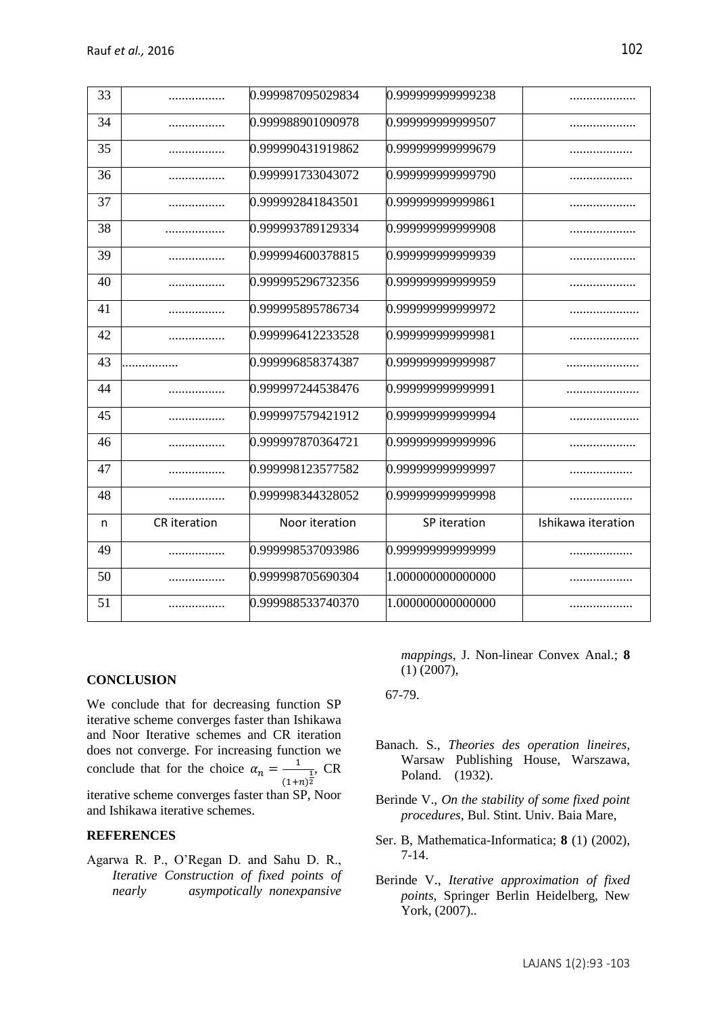| 33 |                     | 0.999987095029834 | 0.999999999999238 |                    |
|----|---------------------|-------------------|-------------------|--------------------|
| 34 |                     | 0.999988901090978 | 0.999999999999507 |                    |
| 35 |                     | 0.999990431919862 | 0.999999999999679 | .                  |
| 36 |                     | 0.999991733043072 | 0.999999999999790 |                    |
| 37 |                     | 0.999992841843501 | 0.999999999999861 |                    |
| 38 | .                   | 0.999993789129334 | 0.999999999999908 |                    |
| 39 | .                   | 0.999994600378815 | 0.999999999999939 |                    |
| 40 | .                   | 0.999995296732356 | 0.999999999999959 |                    |
| 41 |                     | 0.999995895786734 | 0.999999999999972 |                    |
| 42 |                     | 0.999996412233528 | 0.999999999999981 |                    |
| 43 | .                   | 0.999996858374387 | 0.999999999999987 |                    |
| 44 |                     | 0.999997244538476 | 0.999999999999991 |                    |
| 45 |                     | 0.999997579421912 | 0.999999999999994 |                    |
| 46 |                     | 0.999997870364721 | 0.999999999999996 |                    |
| 47 |                     | 0.999998123577582 | 0.999999999999997 |                    |
| 48 | .                   | 0.999998344328052 | 0.999999999999998 |                    |
| n  | <b>CR</b> iteration | Noor iteration    | SP iteration      | Ishikawa iteration |
| 49 | .                   | 0.999998537093986 | 0.999999999999999 |                    |
| 50 |                     | 0.999998705690304 | 1.000000000000000 |                    |
| 51 |                     | 0.999988533740370 | 1.000000000000000 |                    |
|    |                     |                   |                   |                    |

# **CONCLUSION**

We conclude that for decreasing function SP iterative scheme converges faster than Ishikawa and Noor Iterative schemes and CR iteration does not converge. For increasing function we conclude that for the choice  $\alpha_n = \frac{1}{n}$  $\frac{1}{(1+n)^2}$ , CR

iterative scheme converges faster than SP, Noor and Ishikawa iterative schemes.

# **REFERENCES**

Agarwa R. P., O'Regan D. and Sahu D. R., *Iterative Construction of fixed points of nearly asympotically nonexpansive*  *mappings*, J. Non-linear Convex Anal.; **8** (1) (2007),

67-79.

- Banach. S., *Theories des operation lineires*, Warsaw Publishing House, Warszawa, Poland. (1932).
- Berinde V., *On the stability of some fixed point procedures*, Bul. Stint. Univ. Baia Mare,
- Ser. B, Mathematica-Informatica; **8** (1) (2002), 7-14.
- Berinde V., *Iterative approximation of fixed points*, Springer Berlin Heidelberg, New York, (2007)..